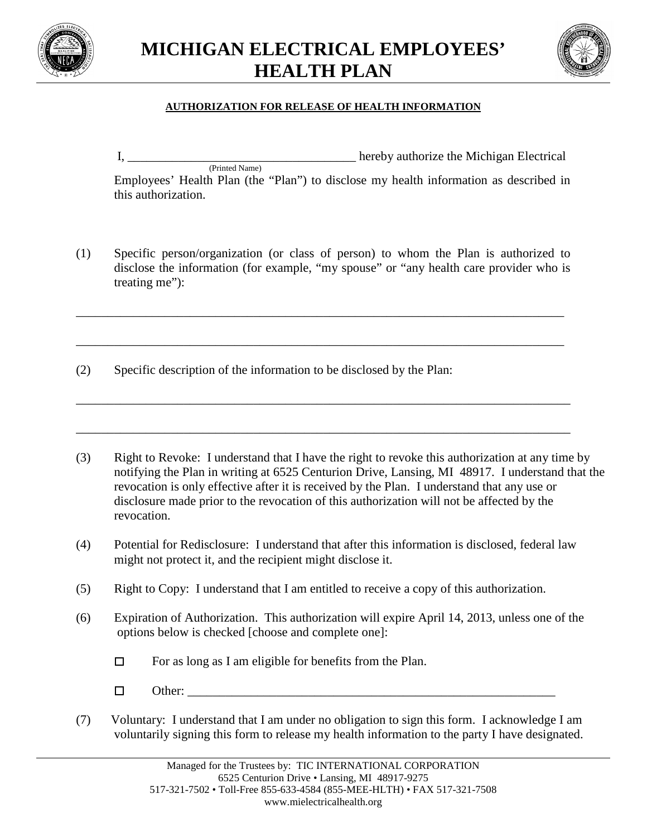



## **AUTHORIZATION FOR RELEASE OF HEALTH INFORMATION**

I, \_\_\_\_\_\_\_\_\_\_\_\_\_\_\_\_\_\_\_\_\_\_\_\_\_\_\_\_\_\_\_\_\_\_\_\_ hereby authorize the Michigan Electrical (Printed Name)

Employees' Health Plan (the "Plan") to disclose my health information as described in this authorization.

(1) Specific person/organization (or class of person) to whom the Plan is authorized to disclose the information (for example, "my spouse" or "any health care provider who is treating me"):

\_\_\_\_\_\_\_\_\_\_\_\_\_\_\_\_\_\_\_\_\_\_\_\_\_\_\_\_\_\_\_\_\_\_\_\_\_\_\_\_\_\_\_\_\_\_\_\_\_\_\_\_\_\_\_\_\_\_\_\_\_\_\_\_\_\_\_\_\_\_\_\_\_\_\_\_\_

\_\_\_\_\_\_\_\_\_\_\_\_\_\_\_\_\_\_\_\_\_\_\_\_\_\_\_\_\_\_\_\_\_\_\_\_\_\_\_\_\_\_\_\_\_\_\_\_\_\_\_\_\_\_\_\_\_\_\_\_\_\_\_\_\_\_\_\_\_\_\_\_\_\_\_\_\_

\_\_\_\_\_\_\_\_\_\_\_\_\_\_\_\_\_\_\_\_\_\_\_\_\_\_\_\_\_\_\_\_\_\_\_\_\_\_\_\_\_\_\_\_\_\_\_\_\_\_\_\_\_\_\_\_\_\_\_\_\_\_\_\_\_\_\_\_\_\_\_\_\_\_\_\_\_\_

\_\_\_\_\_\_\_\_\_\_\_\_\_\_\_\_\_\_\_\_\_\_\_\_\_\_\_\_\_\_\_\_\_\_\_\_\_\_\_\_\_\_\_\_\_\_\_\_\_\_\_\_\_\_\_\_\_\_\_\_\_\_\_\_\_\_\_\_\_\_\_\_\_\_\_\_\_\_

(2) Specific description of the information to be disclosed by the Plan:

(3) Right to Revoke: I understand that I have the right to revoke this authorization at any time by notifying the Plan in writing at 6525 Centurion Drive, Lansing, MI 48917. I understand that the revocation is only effective after it is received by the Plan. I understand that any use or disclosure made prior to the revocation of this authorization will not be affected by the revocation.

- (4) Potential for Redisclosure: I understand that after this information is disclosed, federal law might not protect it, and the recipient might disclose it.
- (5) Right to Copy: I understand that I am entitled to receive a copy of this authorization.
- (6) Expiration of Authorization. This authorization will expire April 14, 2013, unless one of the options below is checked [choose and complete one]:
	- $\Box$ For as long as I am eligible for benefits from the Plan.
	- $\Box$ Other:
- (7) Voluntary: I understand that I am under no obligation to sign this form. I acknowledge I am voluntarily signing this form to release my health information to the party I have designated.